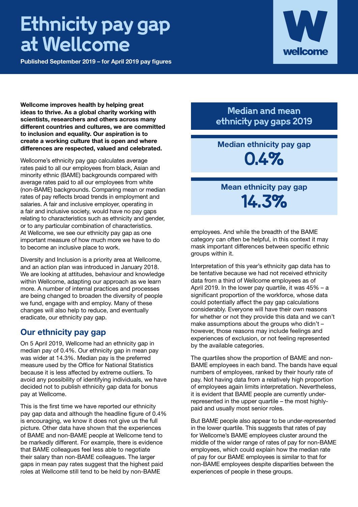# **Ethnicity pay gap at Wellcome**

**Published September 2019 – for April 2019 pay figures**



**Wellcome improves health by helping great ideas to thrive. As a global charity working with scientists, researchers and others across many different countries and cultures, we are committed to inclusion and equality. Our aspiration is to create a working culture that is open and where differences are respected, valued and celebrated.** 

Wellcome's ethnicity pay gap calculates average rates paid to all our employees from black, Asian and minority ethnic (BAME) backgrounds compared with average rates paid to all our employees from white (non-BAME) backgrounds. Comparing mean or median rates of pay reflects broad trends in employment and salaries. A fair and inclusive employer, operating in a fair and inclusive society, would have no pay gaps relating to characteristics such as ethnicity and gender, or to any particular combination of characteristics. At Wellcome, we see our ethnicity pay gap as one important measure of how much more we have to do to become an inclusive place to work.

Diversity and Inclusion is a priority area at Wellcome, and an action plan was introduced in January 2018. We are looking at attitudes, behaviour and knowledge within Wellcome, adapting our approach as we learn more. A number of internal practices and processes are being changed to broaden the diversity of people we fund, engage with and employ. Many of these changes will also help to reduce, and eventually eradicate, our ethnicity pay gap.

#### **Our ethnicity pay gap**

On 5 April 2019, Wellcome had an ethnicity gap in median pay of 0.4%. Our ethnicity gap in mean pay was wider at 14.3%. Median pay is the preferred measure used by the Office for National Statistics because it is less affected by extreme outliers. To avoid any possibility of identifying individuals, we have decided not to publish ethnicity gap data for bonus pay at Wellcome.

This is the first time we have reported our ethnicity pay gap data and although the headline figure of 0.4% is encouraging, we know it does not give us the full picture. Other data have shown that the experiences of BAME and non-BAME people at Wellcome tend to be markedly different. For example, there is evidence that BAME colleagues feel less able to negotiate their salary than non-BAME colleagues. The larger gaps in mean pay rates suggest that the highest paid roles at Wellcome still tend to be held by non-BAME

**Median and mean ethnicity pay gaps 2019**

## **Median ethnicity pay gap 0.4%**

### **Mean ethnicity pay gap 14.3%**

employees. And while the breadth of the BAME category can often be helpful, in this context it may mask important differences between specific ethnic groups within it.

Interpretation of this year's ethnicity gap data has to be tentative because we had not received ethnicity data from a third of Wellcome employees as of April 2019. In the lower pay quartile, it was 45% – a significant proportion of the workforce, whose data could potentially affect the pay gap calculations considerably. Everyone will have their own reasons for whether or not they provide this data and we can't make assumptions about the groups who didn't – however, those reasons may include feelings and experiences of exclusion, or not feeling represented by the available categories.

The quartiles show the proportion of BAME and non-BAME employees in each band. The bands have equal numbers of employees, ranked by their hourly rate of pay. Not having data from a relatively high proportion of employees again limits interpretation. Nevertheless, it is evident that BAME people are currently underrepresented in the upper quartile – the most highlypaid and usually most senior roles.

But BAME people also appear to be under-represented in the lower quartile. This suggests that rates of pay for Wellcome's BAME employees cluster around the middle of the wider range of rates of pay for non-BAME employees, which could explain how the median rate of pay for our BAME employees is similar to that for non-BAME employees despite disparities between the experiences of people in these groups.